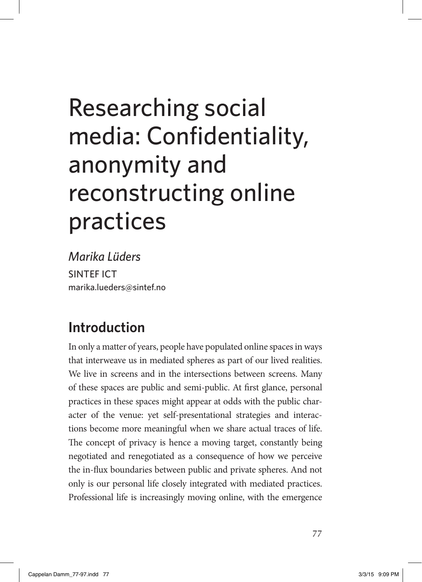# Researching social media: Confidentiality, anonymity and reconstructing online practices

*Marika Lüders* SINTEF ICT [marika.lueders@sintef.no](mailto:marika.lueders@sintef.no)

# **Introduction**

In only a matter of years, people have populated online spaces in ways that interweave us in mediated spheres as part of our lived realities. We live in screens and in the intersections between screens. Many of these spaces are public and semi-public. At first glance, personal practices in these spaces might appear at odds with the public character of the venue: yet self-presentational strategies and interactions become more meaningful when we share actual traces of life. The concept of privacy is hence a moving target, constantly being negotiated and renegotiated as a consequence of how we perceive the in-flux boundaries between public and private spheres. And not only is our personal life closely integrated with mediated practices. Professional life is increasingly moving online, with the emergence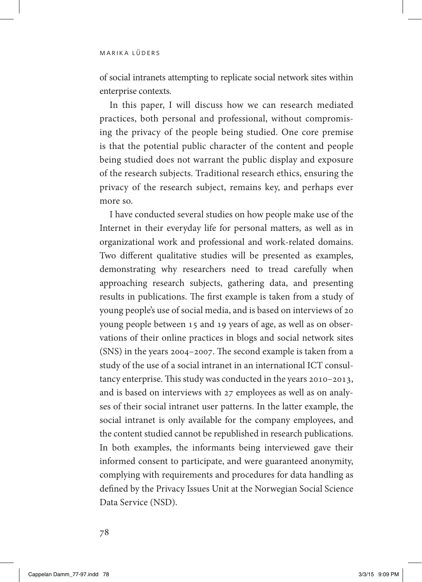of social intranets attempting to replicate social network sites within enterprise contexts.

In this paper, I will discuss how we can research mediated practices, both personal and professional, without compromising the privacy of the people being studied. One core premise is that the potential public character of the content and people being studied does not warrant the public display and exposure of the research subjects. Traditional research ethics, ensuring the privacy of the research subject, remains key, and perhaps ever more so.

I have conducted several studies on how people make use of the Internet in their everyday life for personal matters, as well as in organizational work and professional and work-related domains. Two different qualitative studies will be presented as examples, demonstrating why researchers need to tread carefully when approaching research subjects, gathering data, and presenting results in publications. The first example is taken from a study of young people's use of social media, and is based on interviews of 20 young people between 15 and 19 years of age, as well as on observations of their online practices in blogs and social network sites (SNS) in the years 2004–2007. The second example is taken from a study of the use of a social intranet in an international ICT consultancy enterprise. This study was conducted in the years 2010–2013, and is based on interviews with 27 employees as well as on analyses of their social intranet user patterns. In the latter example, the social intranet is only available for the company employees, and the content studied cannot be republished in research publications. In both examples, the informants being interviewed gave their informed consent to participate, and were guaranteed anonymity, complying with requirements and procedures for data handling as defined by the Privacy Issues Unit at the Norwegian Social Science Data Service (NSD).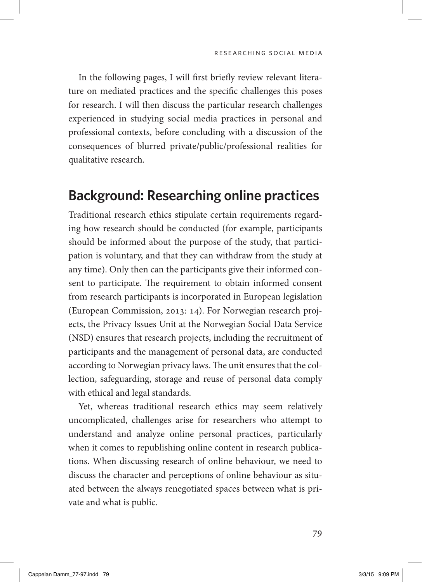In the following pages, I will first briefly review relevant literature on mediated practices and the specific challenges this poses for research. I will then discuss the particular research challenges experienced in studying social media practices in personal and professional contexts, before concluding with a discussion of the consequences of blurred private/public/professional realities for qualitative research.

## **Background: Researching online practices**

Traditional research ethics stipulate certain requirements regarding how research should be conducted (for example, participants should be informed about the purpose of the study, that participation is voluntary, and that they can withdraw from the study at any time). Only then can the participants give their informed consent to participate. The requirement to obtain informed consent from research participants is incorporated in European legislation (European Commission, 2013: 14). For Norwegian research projects, the Privacy Issues Unit at the Norwegian Social Data Service (NSD) ensures that research projects, including the recruitment of participants and the management of personal data, are conducted according to Norwegian privacy laws. The unit ensures that the collection, safeguarding, storage and reuse of personal data comply with ethical and legal standards.

Yet, whereas traditional research ethics may seem relatively uncomplicated, challenges arise for researchers who attempt to understand and analyze online personal practices, particularly when it comes to republishing online content in research publications. When discussing research of online behaviour, we need to discuss the character and perceptions of online behaviour as situated between the always renegotiated spaces between what is private and what is public.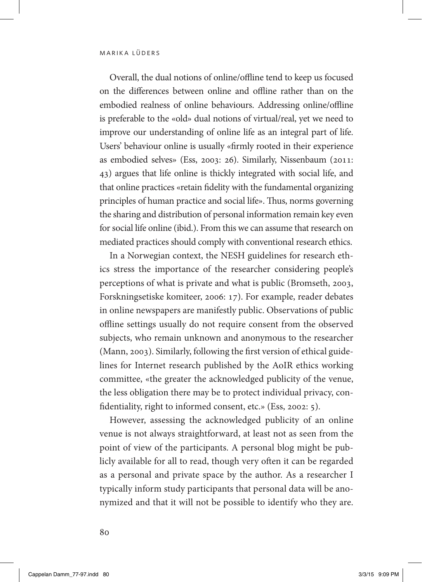Overall, the dual notions of online/offline tend to keep us focused on the differences between online and offline rather than on the embodied realness of online behaviours. Addressing online/offline is preferable to the «old» dual notions of virtual/real, yet we need to improve our understanding of online life as an integral part of life. Users' behaviour online is usually «firmly rooted in their experience as embodied selves» (Ess, 2003: 26). Similarly, Nissenbaum (2011: 43) argues that life online is thickly integrated with social life, and that online practices «retain fidelity with the fundamental organizing principles of human practice and social life». Thus, norms governing the sharing and distribution of personal information remain key even for social life online (ibid.). From this we can assume that research on mediated practices should comply with conventional research ethics.

In a Norwegian context, the NESH guidelines for research ethics stress the importance of the researcher considering people's perceptions of what is private and what is public (Bromseth, 2003, Forskningsetiske komiteer, 2006: 17). For example, reader debates in online newspapers are manifestly public. Observations of public offline settings usually do not require consent from the observed subjects, who remain unknown and anonymous to the researcher (Mann, 2003). Similarly, following the first version of ethical guidelines for Internet research published by the AoIR ethics working committee, «the greater the acknowledged publicity of the venue, the less obligation there may be to protect individual privacy, confidentiality, right to informed consent, etc.» (Ess, 2002: 5).

However, assessing the acknowledged publicity of an online venue is not always straightforward, at least not as seen from the point of view of the participants. A personal blog might be publicly available for all to read, though very often it can be regarded as a personal and private space by the author. As a researcher I typically inform study participants that personal data will be anonymized and that it will not be possible to identify who they are.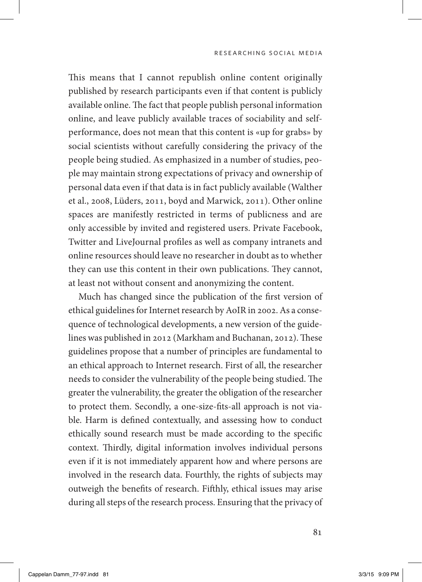This means that I cannot republish online content originally published by research participants even if that content is publicly available online. The fact that people publish personal information online, and leave publicly available traces of sociability and selfperformance, does not mean that this content is «up for grabs» by social scientists without carefully considering the privacy of the people being studied. As emphasized in a number of studies, people may maintain strong expectations of privacy and ownership of personal data even if that data is in fact publicly available (Walther et al., 2008, Lüders, 2011, boyd and Marwick, 2011). Other online spaces are manifestly restricted in terms of publicness and are only accessible by invited and registered users. Private Facebook, Twitter and LiveJournal profiles as well as company intranets and online resources should leave no researcher in doubt as to whether they can use this content in their own publications. They cannot, at least not without consent and anonymizing the content.

Much has changed since the publication of the first version of ethical guidelines for Internet research by AoIR in 2002. As a consequence of technological developments, a new version of the guidelines was published in 2012 (Markham and Buchanan, 2012). These guidelines propose that a number of principles are fundamental to an ethical approach to Internet research. First of all, the researcher needs to consider the vulnerability of the people being studied. The greater the vulnerability, the greater the obligation of the researcher to protect them. Secondly, a one-size-fits-all approach is not viable. Harm is defined contextually, and assessing how to conduct ethically sound research must be made according to the specific context. Thirdly, digital information involves individual persons even if it is not immediately apparent how and where persons are involved in the research data. Fourthly, the rights of subjects may outweigh the benefits of research. Fifthly, ethical issues may arise during all steps of the research process. Ensuring that the privacy of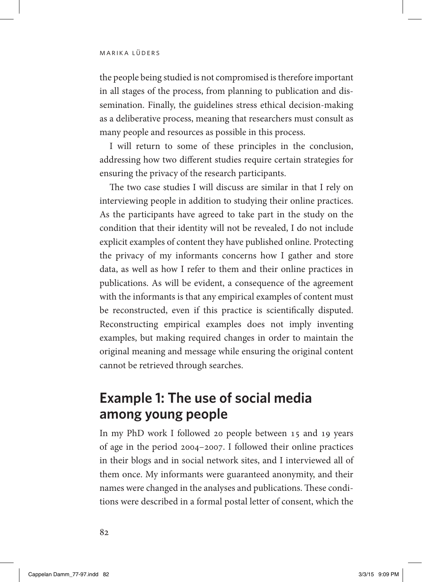the people being studied is not compromised is therefore important in all stages of the process, from planning to publication and dissemination. Finally, the guidelines stress ethical decision-making as a deliberative process, meaning that researchers must consult as many people and resources as possible in this process.

I will return to some of these principles in the conclusion, addressing how two different studies require certain strategies for ensuring the privacy of the research participants.

The two case studies I will discuss are similar in that I rely on interviewing people in addition to studying their online practices. As the participants have agreed to take part in the study on the condition that their identity will not be revealed, I do not include explicit examples of content they have published online. Protecting the privacy of my informants concerns how I gather and store data, as well as how I refer to them and their online practices in publications. As will be evident, a consequence of the agreement with the informants is that any empirical examples of content must be reconstructed, even if this practice is scientifically disputed. Reconstructing empirical examples does not imply inventing examples, but making required changes in order to maintain the original meaning and message while ensuring the original content cannot be retrieved through searches.

# **Example 1: The use of social media among young people**

In my PhD work I followed 20 people between 15 and 19 years of age in the period 2004–2007. I followed their online practices in their blogs and in social network sites, and I interviewed all of them once. My informants were guaranteed anonymity, and their names were changed in the analyses and publications. These conditions were described in a formal postal letter of consent, which the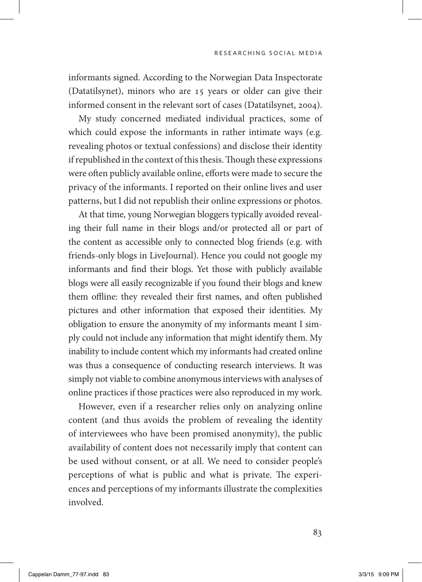informants signed. According to the Norwegian Data Inspectorate (Datatilsynet), minors who are 15 years or older can give their informed consent in the relevant sort of cases (Datatilsynet, 2004).

My study concerned mediated individual practices, some of which could expose the informants in rather intimate ways (e.g. revealing photos or textual confessions) and disclose their identity if republished in the context of this thesis. Though these expressions were often publicly available online, efforts were made to secure the privacy of the informants. I reported on their online lives and user patterns, but I did not republish their online expressions or photos.

At that time, young Norwegian bloggers typically avoided revealing their full name in their blogs and/or protected all or part of the content as accessible only to connected blog friends (e.g. with friends-only blogs in LiveJournal). Hence you could not google my informants and find their blogs. Yet those with publicly available blogs were all easily recognizable if you found their blogs and knew them offline: they revealed their first names, and often published pictures and other information that exposed their identities. My obligation to ensure the anonymity of my informants meant I simply could not include any information that might identify them. My inability to include content which my informants had created online was thus a consequence of conducting research interviews. It was simply not viable to combine anonymous interviews with analyses of online practices if those practices were also reproduced in my work.

However, even if a researcher relies only on analyzing online content (and thus avoids the problem of revealing the identity of interviewees who have been promised anonymity), the public availability of content does not necessarily imply that content can be used without consent, or at all. We need to consider people's perceptions of what is public and what is private. The experiences and perceptions of my informants illustrate the complexities involved.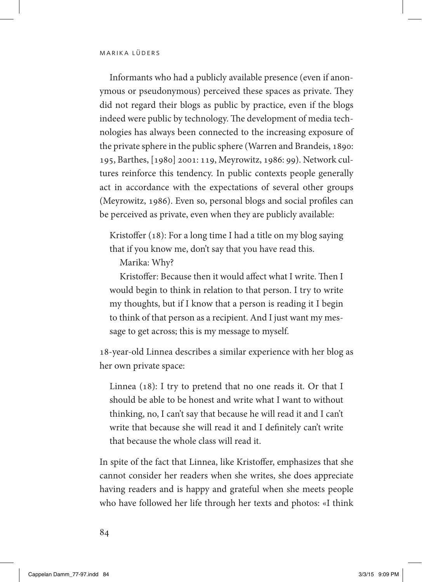Informants who had a publicly available presence (even if anonymous or pseudonymous) perceived these spaces as private. They did not regard their blogs as public by practice, even if the blogs indeed were public by technology. The development of media technologies has always been connected to the increasing exposure of the private sphere in the public sphere (Warren and Brandeis, 1890: 195, Barthes, [1980] 2001: 119, Meyrowitz, 1986: 99). Network cultures reinforce this tendency. In public contexts people generally act in accordance with the expectations of several other groups (Meyrowitz, 1986). Even so, personal blogs and social profiles can be perceived as private, even when they are publicly available:

Kristoffer (18): For a long time I had a title on my blog saying that if you know me, don't say that you have read this.

Marika: Why?

Kristoffer: Because then it would affect what I write. Then I would begin to think in relation to that person. I try to write my thoughts, but if I know that a person is reading it I begin to think of that person as a recipient. And I just want my message to get across; this is my message to myself.

18-year-old Linnea describes a similar experience with her blog as her own private space:

Linnea (18): I try to pretend that no one reads it. Or that I should be able to be honest and write what I want to without thinking, no, I can't say that because he will read it and I can't write that because she will read it and I definitely can't write that because the whole class will read it.

In spite of the fact that Linnea, like Kristoffer, emphasizes that she cannot consider her readers when she writes, she does appreciate having readers and is happy and grateful when she meets people who have followed her life through her texts and photos: «I think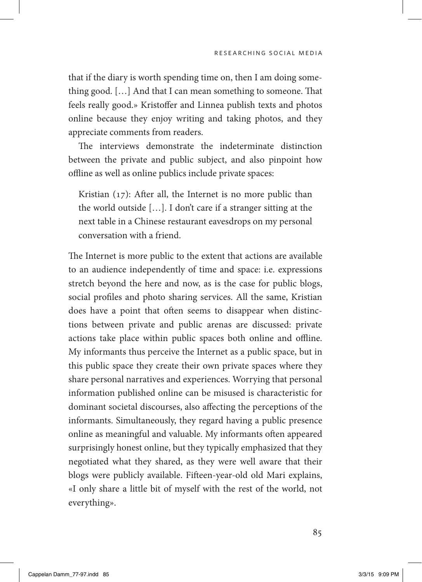that if the diary is worth spending time on, then I am doing something good. […] And that I can mean something to someone. That feels really good.» Kristoffer and Linnea publish texts and photos online because they enjoy writing and taking photos, and they appreciate comments from readers.

The interviews demonstrate the indeterminate distinction between the private and public subject, and also pinpoint how offline as well as online publics include private spaces:

Kristian (17): After all, the Internet is no more public than the world outside […]. I don't care if a stranger sitting at the next table in a Chinese restaurant eavesdrops on my personal conversation with a friend.

The Internet is more public to the extent that actions are available to an audience independently of time and space: i.e. expressions stretch beyond the here and now, as is the case for public blogs, social profiles and photo sharing services. All the same, Kristian does have a point that often seems to disappear when distinctions between private and public arenas are discussed: private actions take place within public spaces both online and offline. My informants thus perceive the Internet as a public space, but in this public space they create their own private spaces where they share personal narratives and experiences. Worrying that personal information published online can be misused is characteristic for dominant societal discourses, also affecting the perceptions of the informants. Simultaneously, they regard having a public presence online as meaningful and valuable. My informants often appeared surprisingly honest online, but they typically emphasized that they negotiated what they shared, as they were well aware that their blogs were publicly available. Fifteen-year-old old Mari explains, «I only share a little bit of myself with the rest of the world, not everything».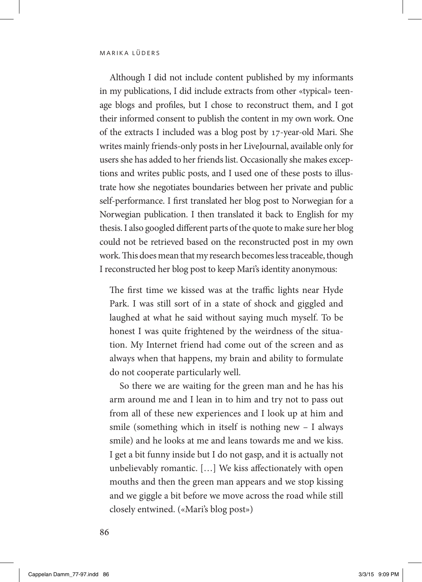Although I did not include content published by my informants in my publications, I did include extracts from other «typical» teenage blogs and profiles, but I chose to reconstruct them, and I got their informed consent to publish the content in my own work. One of the extracts I included was a blog post by 17-year-old Mari. She writes mainly friends-only posts in her LiveJournal, available only for users she has added to her friends list. Occasionally she makes exceptions and writes public posts, and I used one of these posts to illustrate how she negotiates boundaries between her private and public self-performance. I first translated her blog post to Norwegian for a Norwegian publication. I then translated it back to English for my thesis. I also googled different parts of the quote to make sure her blog could not be retrieved based on the reconstructed post in my own work. This does mean that my research becomes less traceable, though I reconstructed her blog post to keep Mari's identity anonymous:

The first time we kissed was at the traffic lights near Hyde Park. I was still sort of in a state of shock and giggled and laughed at what he said without saying much myself. To be honest I was quite frightened by the weirdness of the situation. My Internet friend had come out of the screen and as always when that happens, my brain and ability to formulate do not cooperate particularly well.

So there we are waiting for the green man and he has his arm around me and I lean in to him and try not to pass out from all of these new experiences and I look up at him and smile (something which in itself is nothing new – I always smile) and he looks at me and leans towards me and we kiss. I get a bit funny inside but I do not gasp, and it is actually not unbelievably romantic. […] We kiss affectionately with open mouths and then the green man appears and we stop kissing and we giggle a bit before we move across the road while still closely entwined. («Mari's blog post»)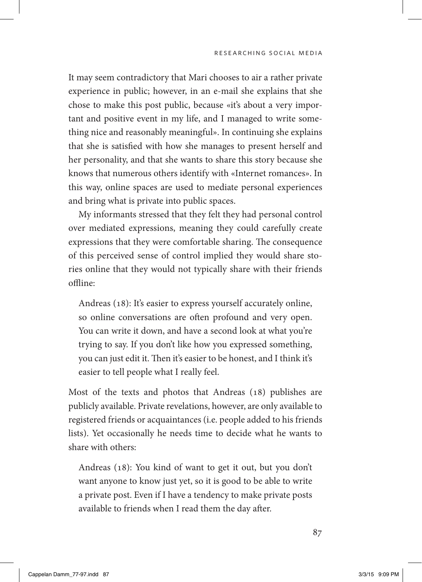It may seem contradictory that Mari chooses to air a rather private experience in public; however, in an e-mail she explains that she chose to make this post public, because «it's about a very important and positive event in my life, and I managed to write something nice and reasonably meaningful». In continuing she explains that she is satisfied with how she manages to present herself and her personality, and that she wants to share this story because she knows that numerous others identify with «Internet romances». In this way, online spaces are used to mediate personal experiences and bring what is private into public spaces.

My informants stressed that they felt they had personal control over mediated expressions, meaning they could carefully create expressions that they were comfortable sharing. The consequence of this perceived sense of control implied they would share stories online that they would not typically share with their friends offline:

Andreas (18): It's easier to express yourself accurately online, so online conversations are often profound and very open. You can write it down, and have a second look at what you're trying to say. If you don't like how you expressed something, you can just edit it. Then it's easier to be honest, and I think it's easier to tell people what I really feel.

Most of the texts and photos that Andreas (18) publishes are publicly available. Private revelations, however, are only available to registered friends or acquaintances (i.e. people added to his friends lists). Yet occasionally he needs time to decide what he wants to share with others:

Andreas (18): You kind of want to get it out, but you don't want anyone to know just yet, so it is good to be able to write a private post. Even if I have a tendency to make private posts available to friends when I read them the day after.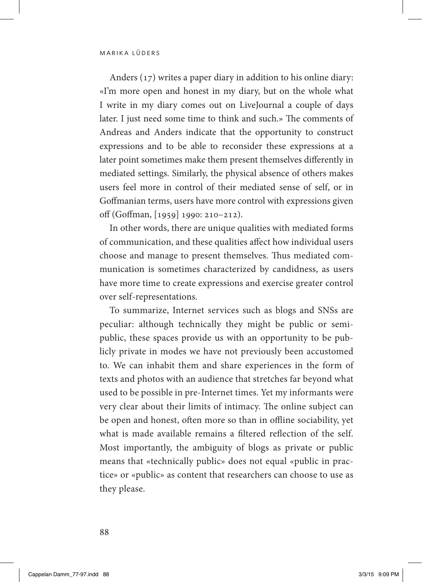Anders (17) writes a paper diary in addition to his online diary: «I'm more open and honest in my diary, but on the whole what I write in my diary comes out on LiveJournal a couple of days later. I just need some time to think and such.» The comments of Andreas and Anders indicate that the opportunity to construct expressions and to be able to reconsider these expressions at a later point sometimes make them present themselves differently in mediated settings. Similarly, the physical absence of others makes users feel more in control of their mediated sense of self, or in Goffmanian terms, users have more control with expressions given off (Goffman, [1959] 1990: 210–212).

In other words, there are unique qualities with mediated forms of communication, and these qualities affect how individual users choose and manage to present themselves. Thus mediated communication is sometimes characterized by candidness, as users have more time to create expressions and exercise greater control over self-representations.

To summarize, Internet services such as blogs and SNSs are peculiar: although technically they might be public or semipublic, these spaces provide us with an opportunity to be publicly private in modes we have not previously been accustomed to. We can inhabit them and share experiences in the form of texts and photos with an audience that stretches far beyond what used to be possible in pre-Internet times. Yet my informants were very clear about their limits of intimacy. The online subject can be open and honest, often more so than in offline sociability, yet what is made available remains a filtered reflection of the self. Most importantly, the ambiguity of blogs as private or public means that «technically public» does not equal «public in practice» or «public» as content that researchers can choose to use as they please.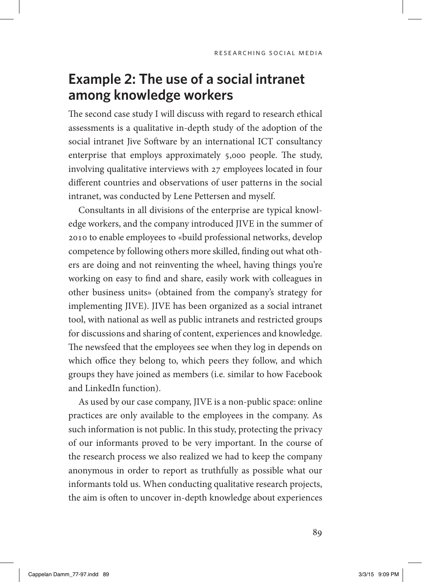### **Example 2: The use of a social intranet among knowledge workers**

The second case study I will discuss with regard to research ethical assessments is a qualitative in-depth study of the adoption of the social intranet Jive Software by an international ICT consultancy enterprise that employs approximately 5,000 people. The study, involving qualitative interviews with 27 employees located in four different countries and observations of user patterns in the social intranet, was conducted by Lene Pettersen and myself.

Consultants in all divisions of the enterprise are typical knowledge workers, and the company introduced JIVE in the summer of 2010 to enable employees to «build professional networks, develop competence by following others more skilled, finding out what others are doing and not reinventing the wheel, having things you're working on easy to find and share, easily work with colleagues in other business units» (obtained from the company's strategy for implementing JIVE). JIVE has been organized as a social intranet tool, with national as well as public intranets and restricted groups for discussions and sharing of content, experiences and knowledge. The newsfeed that the employees see when they log in depends on which office they belong to, which peers they follow, and which groups they have joined as members (i.e. similar to how Facebook and LinkedIn function).

As used by our case company, JIVE is a non-public space: online practices are only available to the employees in the company. As such information is not public. In this study, protecting the privacy of our informants proved to be very important. In the course of the research process we also realized we had to keep the company anonymous in order to report as truthfully as possible what our informants told us. When conducting qualitative research projects, the aim is often to uncover in-depth knowledge about experiences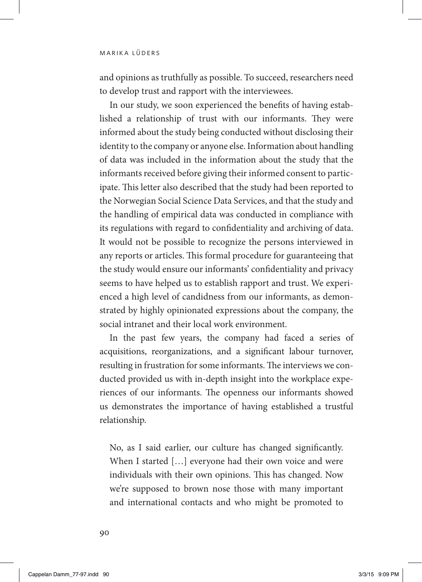and opinions as truthfully as possible. To succeed, researchers need to develop trust and rapport with the interviewees.

In our study, we soon experienced the benefits of having established a relationship of trust with our informants. They were informed about the study being conducted without disclosing their identity to the company or anyone else. Information about handling of data was included in the information about the study that the informants received before giving their informed consent to participate. This letter also described that the study had been reported to the Norwegian Social Science Data Services, and that the study and the handling of empirical data was conducted in compliance with its regulations with regard to confidentiality and archiving of data. It would not be possible to recognize the persons interviewed in any reports or articles. This formal procedure for guaranteeing that the study would ensure our informants' confidentiality and privacy seems to have helped us to establish rapport and trust. We experienced a high level of candidness from our informants, as demonstrated by highly opinionated expressions about the company, the social intranet and their local work environment.

In the past few years, the company had faced a series of acquisitions, reorganizations, and a significant labour turnover, resulting in frustration for some informants. The interviews we conducted provided us with in-depth insight into the workplace experiences of our informants. The openness our informants showed us demonstrates the importance of having established a trustful relationship.

No, as I said earlier, our culture has changed significantly. When I started [...] everyone had their own voice and were individuals with their own opinions. This has changed. Now we're supposed to brown nose those with many important and international contacts and who might be promoted to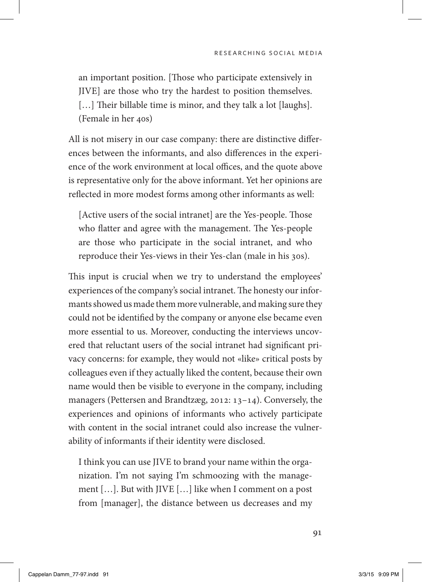an important position. [Those who participate extensively in JIVE] are those who try the hardest to position themselves. [...] Their billable time is minor, and they talk a lot [laughs]. (Female in her 40s)

All is not misery in our case company: there are distinctive differences between the informants, and also differences in the experience of the work environment at local offices, and the quote above is representative only for the above informant. Yet her opinions are reflected in more modest forms among other informants as well:

[Active users of the social intranet] are the Yes-people. Those who flatter and agree with the management. The Yes-people are those who participate in the social intranet, and who reproduce their Yes-views in their Yes-clan (male in his 30s).

This input is crucial when we try to understand the employees' experiences of the company's social intranet. The honesty our informants showed us made them more vulnerable, and making sure they could not be identified by the company or anyone else became even more essential to us. Moreover, conducting the interviews uncovered that reluctant users of the social intranet had significant privacy concerns: for example, they would not «like» critical posts by colleagues even if they actually liked the content, because their own name would then be visible to everyone in the company, including managers (Pettersen and Brandtzæg, 2012: 13–14). Conversely, the experiences and opinions of informants who actively participate with content in the social intranet could also increase the vulnerability of informants if their identity were disclosed.

I think you can use JIVE to brand your name within the organization. I'm not saying I'm schmoozing with the management […]. But with JIVE […] like when I comment on a post from [manager], the distance between us decreases and my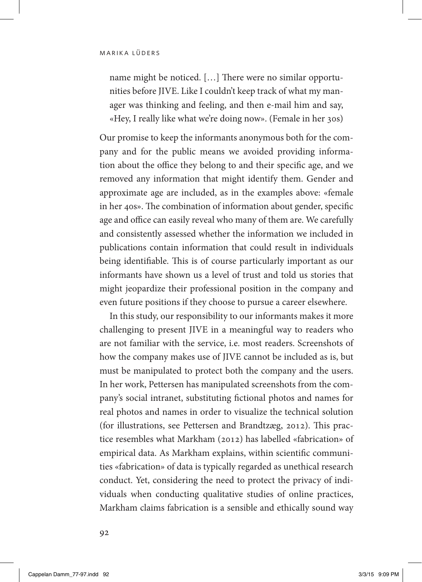name might be noticed. […] There were no similar opportunities before JIVE. Like I couldn't keep track of what my manager was thinking and feeling, and then e-mail him and say, «Hey, I really like what we're doing now». (Female in her 30s)

Our promise to keep the informants anonymous both for the company and for the public means we avoided providing information about the office they belong to and their specific age, and we removed any information that might identify them. Gender and approximate age are included, as in the examples above: «female in her 40s». The combination of information about gender, specific age and office can easily reveal who many of them are. We carefully and consistently assessed whether the information we included in publications contain information that could result in individuals being identifiable. This is of course particularly important as our informants have shown us a level of trust and told us stories that might jeopardize their professional position in the company and even future positions if they choose to pursue a career elsewhere.

In this study, our responsibility to our informants makes it more challenging to present JIVE in a meaningful way to readers who are not familiar with the service, i.e. most readers. Screenshots of how the company makes use of JIVE cannot be included as is, but must be manipulated to protect both the company and the users. In her work, Pettersen has manipulated screenshots from the company's social intranet, substituting fictional photos and names for real photos and names in order to visualize the technical solution (for illustrations, see Pettersen and Brandtzæg, 2012). This practice resembles what Markham (2012) has labelled «fabrication» of empirical data. As Markham explains, within scientific communities «fabrication» of data is typically regarded as unethical research conduct. Yet, considering the need to protect the privacy of individuals when conducting qualitative studies of online practices, Markham claims fabrication is a sensible and ethically sound way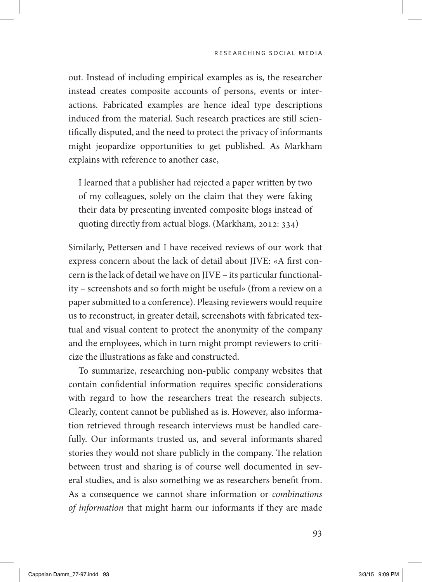out. Instead of including empirical examples as is, the researcher instead creates composite accounts of persons, events or interactions. Fabricated examples are hence ideal type descriptions induced from the material. Such research practices are still scientifically disputed, and the need to protect the privacy of informants might jeopardize opportunities to get published. As Markham explains with reference to another case,

I learned that a publisher had rejected a paper written by two of my colleagues, solely on the claim that they were faking their data by presenting invented composite blogs instead of quoting directly from actual blogs. (Markham, 2012: 334)

Similarly, Pettersen and I have received reviews of our work that express concern about the lack of detail about JIVE: «A first concern is the lack of detail we have on JIVE – its particular functionality – screenshots and so forth might be useful» (from a review on a paper submitted to a conference). Pleasing reviewers would require us to reconstruct, in greater detail, screenshots with fabricated textual and visual content to protect the anonymity of the company and the employees, which in turn might prompt reviewers to criticize the illustrations as fake and constructed.

To summarize, researching non-public company websites that contain confidential information requires specific considerations with regard to how the researchers treat the research subjects. Clearly, content cannot be published as is. However, also information retrieved through research interviews must be handled carefully. Our informants trusted us, and several informants shared stories they would not share publicly in the company. The relation between trust and sharing is of course well documented in several studies, and is also something we as researchers benefit from. As a consequence we cannot share information or *combinations of information* that might harm our informants if they are made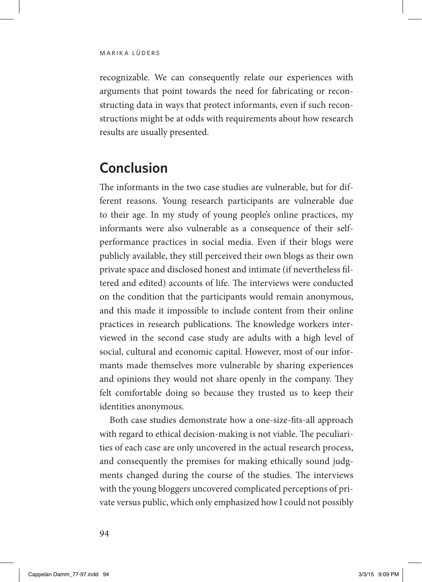recognizable. We can consequently relate our experiences with arguments that point towards the need for fabricating or reconstructing data in ways that protect informants, even if such reconstructions might be at odds with requirements about how research results are usually presented.

# **Conclusion**

The informants in the two case studies are vulnerable, but for different reasons. Young research participants are vulnerable due to their age. In my study of young people's online practices, my informants were also vulnerable as a consequence of their selfperformance practices in social media. Even if their blogs were publicly available, they still perceived their own blogs as their own private space and disclosed honest and intimate (if nevertheless filtered and edited) accounts of life. The interviews were conducted on the condition that the participants would remain anonymous, and this made it impossible to include content from their online practices in research publications. The knowledge workers interviewed in the second case study are adults with a high level of social, cultural and economic capital. However, most of our informants made themselves more vulnerable by sharing experiences and opinions they would not share openly in the company. They felt comfortable doing so because they trusted us to keep their identities anonymous.

Both case studies demonstrate how a one-size-fits-all approach with regard to ethical decision-making is not viable. The peculiarities of each case are only uncovered in the actual research process, and consequently the premises for making ethically sound judgments changed during the course of the studies. The interviews with the young bloggers uncovered complicated perceptions of private versus public, which only emphasized how I could not possibly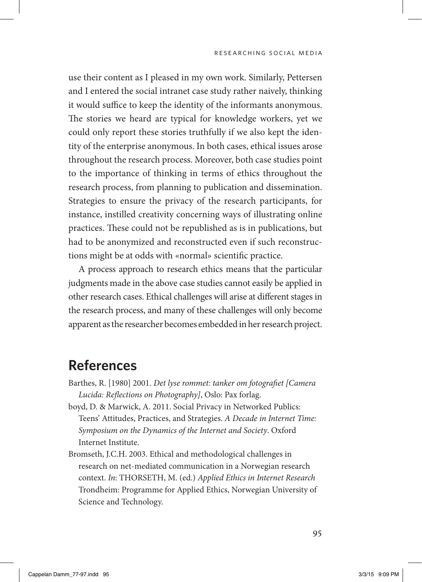use their content as I pleased in my own work. Similarly, Pettersen and I entered the social intranet case study rather naively, thinking it would suffice to keep the identity of the informants anonymous. The stories we heard are typical for knowledge workers, yet we could only report these stories truthfully if we also kept the identity of the enterprise anonymous. In both cases, ethical issues arose throughout the research process. Moreover, both case studies point to the importance of thinking in terms of ethics throughout the research process, from planning to publication and dissemination. Strategies to ensure the privacy of the research participants, for instance, instilled creativity concerning ways of illustrating online practices. These could not be republished as is in publications, but had to be anonymized and reconstructed even if such reconstructions might be at odds with «normal» scientific practice.

A process approach to research ethics means that the particular judgments made in the above case studies cannot easily be applied in other research cases. Ethical challenges will arise at different stages in the research process, and many of these challenges will only become apparent as the researcher becomes embedded in her research project.

### **References**

- Barthes, R. [1980] 2001. *Det lyse rommet: tanker om fotografiet [Camera Lucida: Reflections on Photography]*, Oslo: Pax forlag.
- boyd, D. & Marwick, A. 2011. Social Privacy in Networked Publics: Teens' Attitudes, Practices, and Strategies. *A Decade in Internet Time: Symposium on the Dynamics of the Internet and Society*. Oxford Internet Institute.
- Bromseth, J.C.H. 2003. Ethical and methodological challenges in research on net-mediated communication in a Norwegian research context. *In*: THORSETH, M. (ed.) *Applied Ethics in Internet Research* Trondheim: Programme for Applied Ethics, Norwegian University of Science and Technology.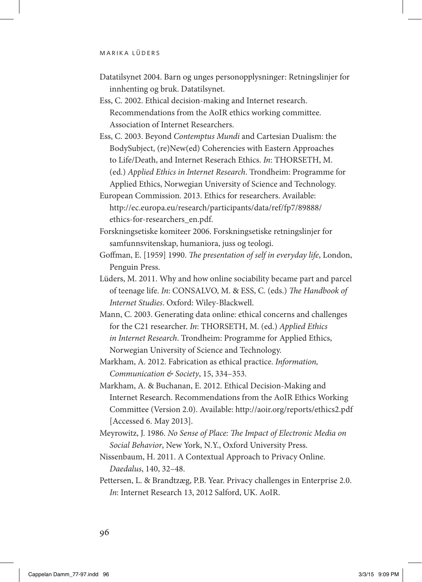Datatilsynet 2004. Barn og unges personopplysninger: Retningslinjer for innhenting og bruk. Datatilsynet.

Ess, C. 2002. Ethical decision-making and Internet research. Recommendations from the AoIR ethics working committee. Association of Internet Researchers.

Ess, C. 2003. Beyond *Contemptus Mundi* and Cartesian Dualism: the BodySubject, (re)New(ed) Coherencies with Eastern Approaches to Life/Death, and Internet Reserach Ethics. *In*: THORSETH, M. (ed.) *Applied Ethics in Internet Research*. Trondheim: Programme for Applied Ethics, Norwegian University of Science and Technology.

European Commission. 2013. Ethics for researchers. Available: [http://ec.europa.eu/research/participants/data/ref/fp7/89888/](mailto:http://ec.europa.eu/research/participants/data/ref/fp7/89888/ethics-for-researchers_en.pdf?subject=) [ethics-for-researchers\\_en.pdf](mailto:http://ec.europa.eu/research/participants/data/ref/fp7/89888/ethics-for-researchers_en.pdf?subject=).

Forskningsetiske komiteer 2006. Forskningsetiske retningslinjer for samfunnsvitenskap, humaniora, juss og teologi.

Goffman, E. [1959] 1990. *The presentation of self in everyday life*, London, Penguin Press.

- Lüders, M. 2011. Why and how online sociability became part and parcel of teenage life. *In*: CONSALVO, M. & ESS, C. (eds.) *The Handbook of Internet Studies*. Oxford: Wiley-Blackwell.
- Mann, C. 2003. Generating data online: ethical concerns and challenges for the C21 researcher. *In*: THORSETH, M. (ed.) *Applied Ethics in Internet Research*. Trondheim: Programme for Applied Ethics, Norwegian University of Science and Technology.
- Markham, A. 2012. Fabrication as ethical practice. *Information, Communication & Society*, 15, 334–353.

Markham, A. & Buchanan, E. 2012. Ethical Decision-Making and Internet Research. Recommendations from the AoIR Ethics Working Committee (Version 2.0). Available: [http://aoir.org/reports/ethics2.pdf](mailto:http://aoir.org/reports/ethics2.pdf?subject=)  [Accessed 6. May 2013].

Meyrowitz, J. 1986. *No Sense of Place: The Impact of Electronic Media on Social Behavior*, New York, N.Y., Oxford University Press.

- Nissenbaum, H. 2011. A Contextual Approach to Privacy Online. *Daedalus*, 140, 32–48.
- Pettersen, L. & Brandtzæg, P.B. Year. Privacy challenges in Enterprise 2.0. *In*: Internet Research 13, 2012 Salford, UK. AoIR.